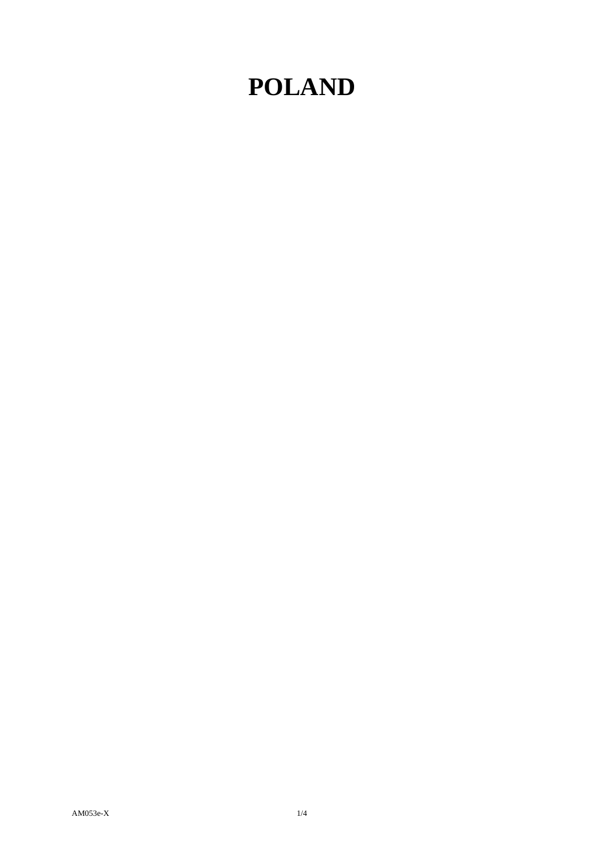## **POLAND**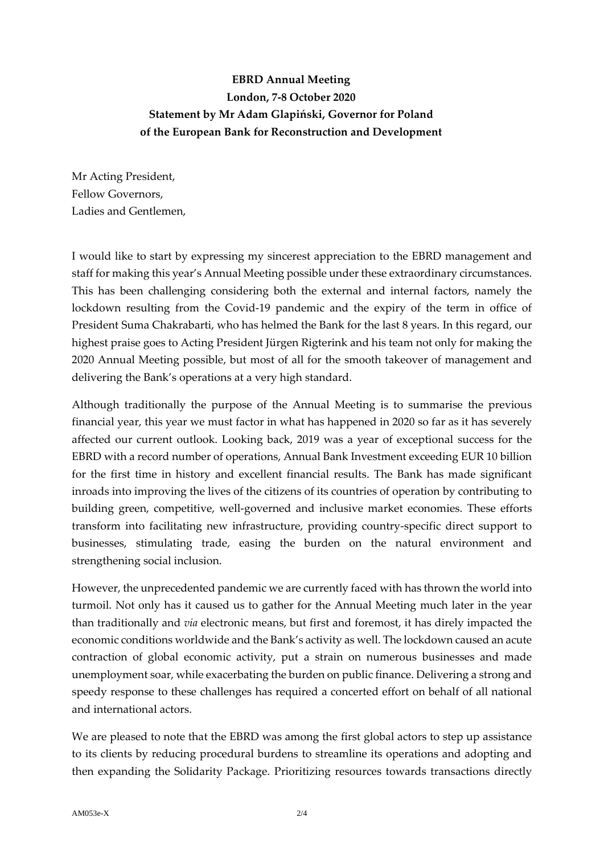## **EBRD Annual Meeting London, 7-8 October 2020 Statement by Mr Adam Glapiński, Governor for Poland of the European Bank for Reconstruction and Development**

Mr Acting President, Fellow Governors, Ladies and Gentlemen,

I would like to start by expressing my sincerest appreciation to the EBRD management and staff for making this year's Annual Meeting possible under these extraordinary circumstances. This has been challenging considering both the external and internal factors, namely the lockdown resulting from the Covid-19 pandemic and the expiry of the term in office of President Suma Chakrabarti, who has helmed the Bank for the last 8 years. In this regard, our highest praise goes to Acting President Jürgen Rigterink and his team not only for making the 2020 Annual Meeting possible, but most of all for the smooth takeover of management and delivering the Bank's operations at a very high standard.

Although traditionally the purpose of the Annual Meeting is to summarise the previous financial year, this year we must factor in what has happened in 2020 so far as it has severely affected our current outlook. Looking back, 2019 was a year of exceptional success for the EBRD with a record number of operations, Annual Bank Investment exceeding EUR 10 billion for the first time in history and excellent financial results. The Bank has made significant inroads into improving the lives of the citizens of its countries of operation by contributing to building green, competitive, well-governed and inclusive market economies. These efforts transform into facilitating new infrastructure, providing country-specific direct support to businesses, stimulating trade, easing the burden on the natural environment and strengthening social inclusion.

However, the unprecedented pandemic we are currently faced with has thrown the world into turmoil. Not only has it caused us to gather for the Annual Meeting much later in the year than traditionally and *via* electronic means, but first and foremost, it has direly impacted the economic conditions worldwide and the Bank's activity as well. The lockdown caused an acute contraction of global economic activity, put a strain on numerous businesses and made unemployment soar, while exacerbating the burden on public finance. Delivering a strong and speedy response to these challenges has required a concerted effort on behalf of all national and international actors.

We are pleased to note that the EBRD was among the first global actors to step up assistance to its clients by reducing procedural burdens to streamline its operations and adopting and then expanding the Solidarity Package. Prioritizing resources towards transactions directly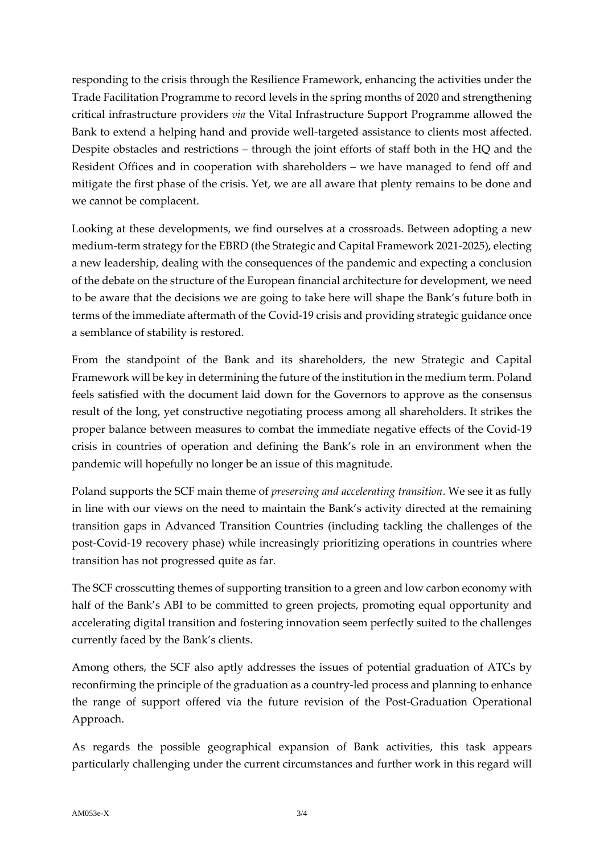responding to the crisis through the Resilience Framework, enhancing the activities under the Trade Facilitation Programme to record levels in the spring months of 2020 and strengthening critical infrastructure providers *via* the Vital Infrastructure Support Programme allowed the Bank to extend a helping hand and provide well-targeted assistance to clients most affected. Despite obstacles and restrictions – through the joint efforts of staff both in the HQ and the Resident Offices and in cooperation with shareholders – we have managed to fend off and mitigate the first phase of the crisis. Yet, we are all aware that plenty remains to be done and we cannot be complacent.

Looking at these developments, we find ourselves at a crossroads. Between adopting a new medium-term strategy for the EBRD (the Strategic and Capital Framework 2021-2025), electing a new leadership, dealing with the consequences of the pandemic and expecting a conclusion of the debate on the structure of the European financial architecture for development, we need to be aware that the decisions we are going to take here will shape the Bank's future both in terms of the immediate aftermath of the Covid-19 crisis and providing strategic guidance once a semblance of stability is restored.

From the standpoint of the Bank and its shareholders, the new Strategic and Capital Framework will be key in determining the future of the institution in the medium term. Poland feels satisfied with the document laid down for the Governors to approve as the consensus result of the long, yet constructive negotiating process among all shareholders. It strikes the proper balance between measures to combat the immediate negative effects of the Covid-19 crisis in countries of operation and defining the Bank's role in an environment when the pandemic will hopefully no longer be an issue of this magnitude.

Poland supports the SCF main theme of *preserving and accelerating transition*. We see it as fully in line with our views on the need to maintain the Bank's activity directed at the remaining transition gaps in Advanced Transition Countries (including tackling the challenges of the post-Covid-19 recovery phase) while increasingly prioritizing operations in countries where transition has not progressed quite as far.

The SCF crosscutting themes of supporting transition to a green and low carbon economy with half of the Bank's ABI to be committed to green projects, promoting equal opportunity and accelerating digital transition and fostering innovation seem perfectly suited to the challenges currently faced by the Bank's clients.

Among others, the SCF also aptly addresses the issues of potential graduation of ATCs by reconfirming the principle of the graduation as a country-led process and planning to enhance the range of support offered via the future revision of the Post-Graduation Operational Approach.

As regards the possible geographical expansion of Bank activities, this task appears particularly challenging under the current circumstances and further work in this regard will